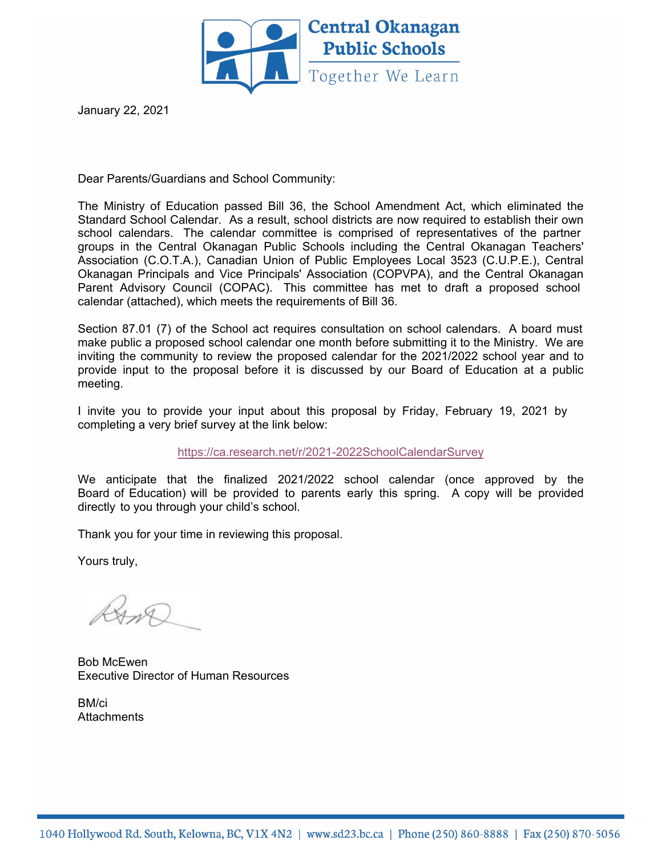

January 22, 2021

Dear Parents/Guardians and School Community:

The Ministry of Education passed Bill 36, the School Amendment Act, which eliminated the Standard School Calendar. As a result, school districts are now required to establish their own school calendars. The calendar committee is comprised of representatives of the partner groups in the Central Okanagan Public Schools including the Central Okanagan Teachers' Association (C.O.T.A.), Canadian Union of Public Employees Local 3523 (C.U.P.E.), Central Okanagan Principals and Vice Principals' Association (COPVPA), and the Central Okanagan Parent Advisory Council (COPAC). This committee has met to draft a proposed school calendar (attached), which meets the requirements of Bill 36.

Section 87.01 (7) of the School act requires consultation on school calendars. A board must make public a proposed school calendar one month before submitting it to the Ministry. We are inviting the community to review the proposed calendar for the 2021/2022 school year and to provide input to the proposal before it is discussed by our Board of Education at a public meeting.

I invite you to provide your input about this proposal by Friday, February 19, 2021 by completing a very brief survey at the link below:

https://ca.research.net/r/2021-2022SchoolCalendarSurvey

We anticipate that the finalized 2021/2022 school calendar (once approved by the Board of Education) will be provided to parents early this spring. A copy will be provided directly to you through your child's school.

Thank you for your time in reviewing this proposal.

Yours truly,

Bob McEwen Executive Director of Human Resources

BM/ci **Attachments**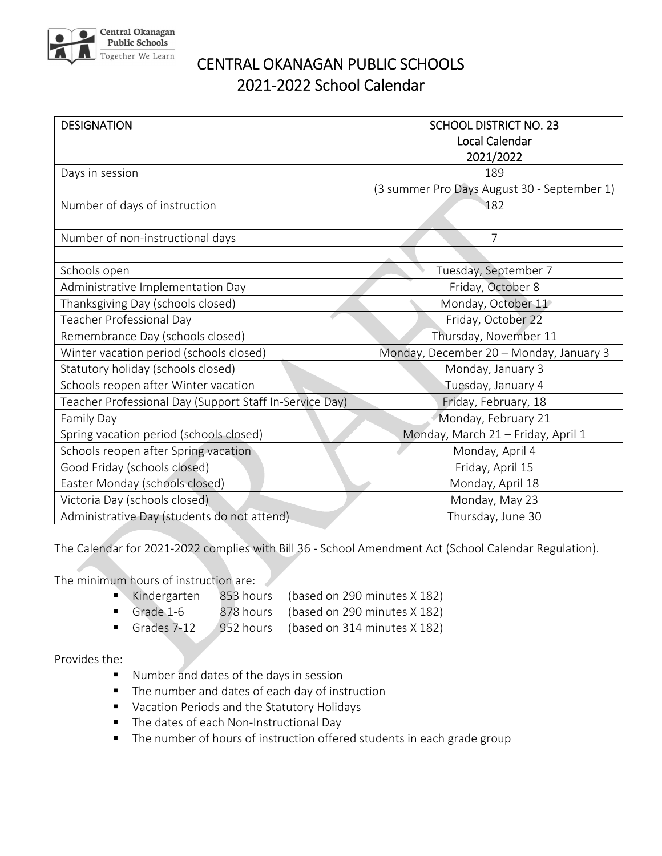

## CENTRAL OKANAGAN PUBLIC SCHOOLS 2021‐2022 School Calendar

| <b>DESIGNATION</b>                                      | <b>SCHOOL DISTRICT NO. 23</b>               |
|---------------------------------------------------------|---------------------------------------------|
|                                                         | <b>Local Calendar</b>                       |
|                                                         | 2021/2022                                   |
| Days in session                                         | 189                                         |
|                                                         | (3 summer Pro Days August 30 - September 1) |
| Number of days of instruction                           | 182                                         |
|                                                         |                                             |
| Number of non-instructional days                        | 7                                           |
|                                                         |                                             |
| Schools open                                            | Tuesday, September 7                        |
| Administrative Implementation Day                       | Friday, October 8                           |
| Thanksgiving Day (schools closed)                       | Monday, October 11                          |
| Teacher Professional Day                                | Friday, October 22                          |
| Remembrance Day (schools closed)                        | Thursday, November 11                       |
| Winter vacation period (schools closed)                 | Monday, December 20 - Monday, January 3     |
| Statutory holiday (schools closed)                      | Monday, January 3                           |
| Schools reopen after Winter vacation                    | Tuesday, January 4                          |
| Teacher Professional Day (Support Staff In-Service Day) | Friday, February, 18                        |
| Family Day                                              | Monday, February 21                         |
| Spring vacation period (schools closed)                 | Monday, March 21 - Friday, April 1          |
| Schools reopen after Spring vacation                    | Monday, April 4                             |
| Good Friday (schools closed)                            | Friday, April 15                            |
| Easter Monday (schools closed)                          | Monday, April 18                            |
| Victoria Day (schools closed)                           | Monday, May 23                              |
| Administrative Day (students do not attend)             | Thursday, June 30                           |

The Calendar for 2021‐2022 complies with Bill 36 ‐ School Amendment Act (School Calendar Regulation).

The minimum hours of instruction are:

- Kindergarten 853 hours (based on 290 minutes X 182)
- Grade 1-6 878 hours (based on 290 minutes X 182)
- Grades 7-12 952 hours (based on 314 minutes X 182)

## Provides the:

- **Number and dates of the days in session**
- **The number and dates of each day of instruction**
- **Vacation Periods and the Statutory Holidays**
- The dates of each Non-Instructional Day
- The number of hours of instruction offered students in each grade group